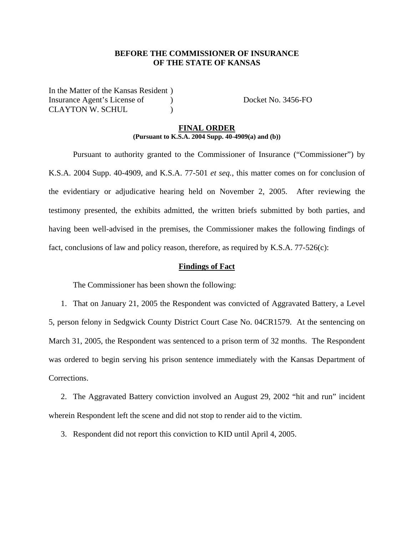#### **BEFORE THE COMMISSIONER OF INSURANCE OF THE STATE OF KANSAS**

In the Matter of the Kansas Resident ) Insurance Agent's License of (a) Docket No. 3456-FO CLAYTON W. SCHUL )

#### **FINAL ORDER (Pursuant to K.S.A. 2004 Supp. 40-4909(a) and (b))**

 Pursuant to authority granted to the Commissioner of Insurance ("Commissioner") by K.S.A. 2004 Supp. 40-4909, and K.S.A. 77-501 *et seq.*, this matter comes on for conclusion of the evidentiary or adjudicative hearing held on November 2, 2005. After reviewing the testimony presented, the exhibits admitted, the written briefs submitted by both parties, and having been well-advised in the premises, the Commissioner makes the following findings of fact, conclusions of law and policy reason, therefore, as required by K.S.A.  $77-526(c)$ :

#### **Findings of Fact**

The Commissioner has been shown the following:

1. That on January 21, 2005 the Respondent was convicted of Aggravated Battery, a Level 5, person felony in Sedgwick County District Court Case No. 04CR1579. At the sentencing on March 31, 2005, the Respondent was sentenced to a prison term of 32 months. The Respondent was ordered to begin serving his prison sentence immediately with the Kansas Department of Corrections.

2. The Aggravated Battery conviction involved an August 29, 2002 "hit and run" incident wherein Respondent left the scene and did not stop to render aid to the victim.

3. Respondent did not report this conviction to KID until April 4, 2005.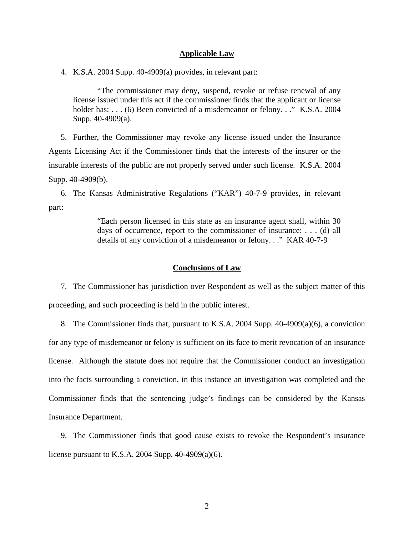#### **Applicable Law**

4. K.S.A. 2004 Supp. 40-4909(a) provides, in relevant part:

"The commissioner may deny, suspend, revoke or refuse renewal of any license issued under this act if the commissioner finds that the applicant or license holder has: . . . (6) Been convicted of a misdemeanor or felony. . ." K.S.A. 2004 Supp. 40-4909(a).

5. Further, the Commissioner may revoke any license issued under the Insurance Agents Licensing Act if the Commissioner finds that the interests of the insurer or the insurable interests of the public are not properly served under such license. K.S.A. 2004 Supp. 40-4909(b).

6. The Kansas Administrative Regulations ("KAR") 40-7-9 provides, in relevant part:

> "Each person licensed in this state as an insurance agent shall, within 30 days of occurrence, report to the commissioner of insurance: . . . (d) all details of any conviction of a misdemeanor or felony. . ." KAR 40-7-9

#### **Conclusions of Law**

7. The Commissioner has jurisdiction over Respondent as well as the subject matter of this proceeding, and such proceeding is held in the public interest.

8. The Commissioner finds that, pursuant to K.S.A. 2004 Supp. 40-4909(a)(6), a conviction for any type of misdemeanor or felony is sufficient on its face to merit revocation of an insurance license. Although the statute does not require that the Commissioner conduct an investigation into the facts surrounding a conviction, in this instance an investigation was completed and the Commissioner finds that the sentencing judge's findings can be considered by the Kansas Insurance Department.

9. The Commissioner finds that good cause exists to revoke the Respondent's insurance license pursuant to K.S.A. 2004 Supp. 40-4909(a)(6).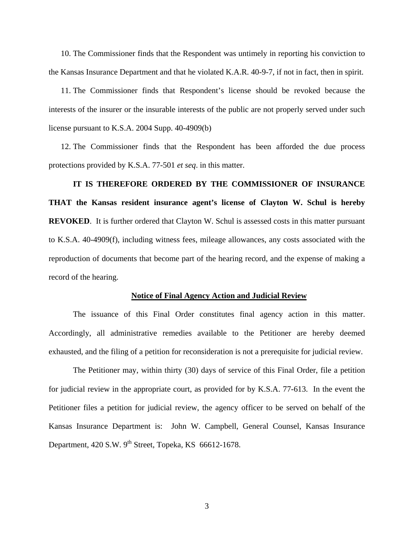10. The Commissioner finds that the Respondent was untimely in reporting his conviction to the Kansas Insurance Department and that he violated K.A.R. 40-9-7, if not in fact, then in spirit.

11. The Commissioner finds that Respondent's license should be revoked because the interests of the insurer or the insurable interests of the public are not properly served under such license pursuant to K.S.A. 2004 Supp. 40-4909(b)

12. The Commissioner finds that the Respondent has been afforded the due process protections provided by K.S.A. 77-501 *et seq*. in this matter.

# **IT IS THEREFORE ORDERED BY THE COMMISSIONER OF INSURANCE THAT the Kansas resident insurance agent's license of Clayton W. Schul is hereby REVOKED.** It is further ordered that Clayton W. Schul is assessed costs in this matter pursuant to K.S.A. 40-4909(f), including witness fees, mileage allowances, any costs associated with the reproduction of documents that become part of the hearing record, and the expense of making a record of the hearing.

#### **Notice of Final Agency Action and Judicial Review**

The issuance of this Final Order constitutes final agency action in this matter. Accordingly, all administrative remedies available to the Petitioner are hereby deemed exhausted, and the filing of a petition for reconsideration is not a prerequisite for judicial review.

The Petitioner may, within thirty (30) days of service of this Final Order, file a petition for judicial review in the appropriate court, as provided for by K.S.A. 77-613. In the event the Petitioner files a petition for judicial review, the agency officer to be served on behalf of the Kansas Insurance Department is: John W. Campbell, General Counsel, Kansas Insurance Department,  $420$  S.W.  $9^{th}$  Street, Topeka, KS 66612-1678.